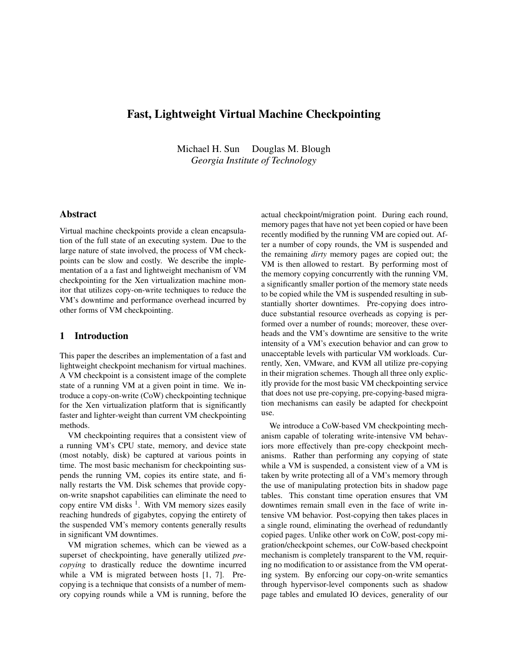# Fast, Lightweight Virtual Machine Checkpointing

Michael H. Sun Douglas M. Blough *Georgia Institute of Technology*

# Abstract

Virtual machine checkpoints provide a clean encapsulation of the full state of an executing system. Due to the large nature of state involved, the process of VM checkpoints can be slow and costly. We describe the implementation of a a fast and lightweight mechanism of VM checkpointing for the Xen virtualization machine monitor that utilizes copy-on-write techniques to reduce the VM's downtime and performance overhead incurred by other forms of VM checkpointing.

### 1 Introduction

This paper the describes an implementation of a fast and lightweight checkpoint mechanism for virtual machines. A VM checkpoint is a consistent image of the complete state of a running VM at a given point in time. We introduce a copy-on-write (CoW) checkpointing technique for the Xen virtualization platform that is significantly faster and lighter-weight than current VM checkpointing methods.

VM checkpointing requires that a consistent view of a running VM's CPU state, memory, and device state (most notably, disk) be captured at various points in time. The most basic mechanism for checkpointing suspends the running VM, copies its entire state, and finally restarts the VM. Disk schemes that provide copyon-write snapshot capabilities can eliminate the need to copy entire VM disks<sup>1</sup>. With VM memory sizes easily reaching hundreds of gigabytes, copying the entirety of the suspended VM's memory contents generally results in significant VM downtimes.

VM migration schemes, which can be viewed as a superset of checkpointing, have generally utilized *precopying* to drastically reduce the downtime incurred while a VM is migrated between hosts [1, 7]. Precopying is a technique that consists of a number of memory copying rounds while a VM is running, before the actual checkpoint/migration point. During each round, memory pages that have not yet been copied or have been recently modified by the running VM are copied out. After a number of copy rounds, the VM is suspended and the remaining *dirty* memory pages are copied out; the VM is then allowed to restart. By performing most of the memory copying concurrently with the running VM, a significantly smaller portion of the memory state needs to be copied while the VM is suspended resulting in substantially shorter downtimes. Pre-copying does introduce substantial resource overheads as copying is performed over a number of rounds; moreover, these overheads and the VM's downtime are sensitive to the write intensity of a VM's execution behavior and can grow to unacceptable levels with particular VM workloads. Currently, Xen, VMware, and KVM all utilize pre-copying in their migration schemes. Though all three only explicitly provide for the most basic VM checkpointing service that does not use pre-copying, pre-copying-based migration mechanisms can easily be adapted for checkpoint use.

We introduce a CoW-based VM checkpointing mechanism capable of tolerating write-intensive VM behaviors more effectively than pre-copy checkpoint mechanisms. Rather than performing any copying of state while a VM is suspended, a consistent view of a VM is taken by write protecting all of a VM's memory through the use of manipulating protection bits in shadow page tables. This constant time operation ensures that VM downtimes remain small even in the face of write intensive VM behavior. Post-copying then takes places in a single round, eliminating the overhead of redundantly copied pages. Unlike other work on CoW, post-copy migration/checkpoint schemes, our CoW-based checkpoint mechanism is completely transparent to the VM, requiring no modification to or assistance from the VM operating system. By enforcing our copy-on-write semantics through hypervisor-level components such as shadow page tables and emulated IO devices, generality of our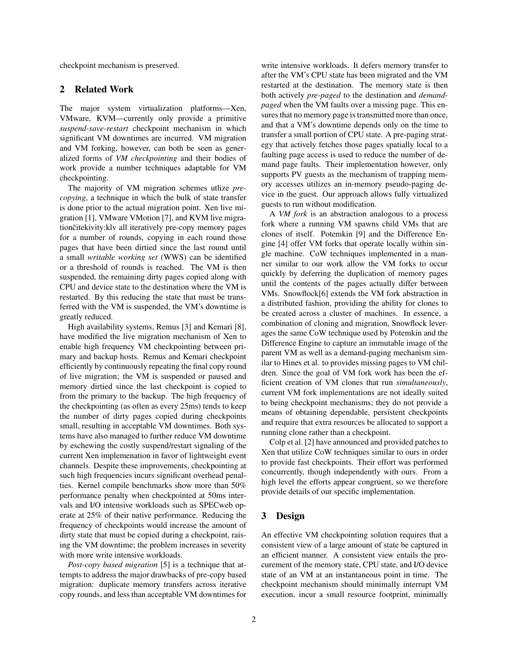checkpoint mechanism is preserved.

### 2 Related Work

The major system virtualization platforms—Xen, VMware, KVM—currently only provide a primitive *suspend-save-restart* checkpoint mechanism in which significant VM downtimes are incurred. VM migration and VM forking, however, can both be seen as generalized forms of *VM checkpointing* and their bodies of work provide a number techniques adaptable for VM checkpointing.

The majority of VM migration schemes utlize *precopying*, a technique in which the bulk of state transfer is done prior to the actual migration point. Xen live migration [1], VMware VMotion [7], and KVM live migrationcitekivity: klv all iteratively pre-copy memory pages for a number of rounds, copying in each round those pages that have been dirtied since the last round until a small *writable working set* (WWS) can be identified or a threshold of rounds is reached. The VM is then suspended, the remaining dirty pages copied along with CPU and device state to the destination where the VM is restarted. By this reducing the state that must be transferred with the VM is suspended, the VM's downtime is greatly reduced.

High availability systems, Remus [3] and Kemari [8], have modified the live migration mechanism of Xen to enable high frequency VM checkpointing between primary and backup hosts. Remus and Kemari checkpoint efficiently by continuously repeating the final copy round of live migration; the VM is suspended or paused and memory dirtied since the last checkpoint is copied to from the primary to the backup. The high frequency of the checkpointing (as often as every 25ms) tends to keep the number of dirty pages copied during checkpoints small, resulting in acceptable VM downtimes. Both systems have also managed to further reduce VM downtime by eschewing the costly suspend/restart signaling of the current Xen implemenation in favor of lightweight event channels. Despite these improvements, checkpointing at such high frequencies incurs significant overhead penalties. Kernel compile benchmarks show more than 50% performance penalty when checkpointed at 50ms intervals and I/O intensive workloads such as SPECweb operate at 25% of their native performance. Reducing the frequency of checkpoints would increase the amount of dirty state that must be copied during a checkpoint, raising the VM downtime; the problem increases in severity with more write intensive workloads.

*Post-copy based migration* [5] is a technique that attempts to address the major drawbacks of pre-copy based migration: duplicate memory transfers across iterative copy rounds, and less than acceptable VM downtimes for write intensive workloads. It defers memory transfer to after the VM's CPU state has been migrated and the VM restarted at the destination. The memory state is then both actively *pre-paged* to the destination and *demandpaged* when the VM faults over a missing page. This ensures that no memory page is transmitted more than once, and that a VM's downtime depends only on the time to transfer a small portion of CPU state. A pre-paging strategy that actively fetches those pages spatially local to a faulting page access is used to reduce the number of demand page faults. Their implementation however, only supports PV guests as the mechanism of trapping memory accesses utilizes an in-memory pseudo-paging device in the guest. Our approach allows fully virtualized guests to run without modification.

A *VM fork* is an abstraction analogous to a process fork where a running VM spawns child VMs that are clones of itself. Potemkin [9] and the Difference Engine [4] offer VM forks that operate locally within single machine. CoW techniques implemented in a manner similar to our work allow the VM forks to occur quickly by deferring the duplication of memory pages until the contents of the pages actually differ between VMs. Snowflock[6] extends the VM fork abstraction in a distributed fashion, providing the ability for clones to be created across a cluster of machines. In essence, a combination of cloning and migration, Snowflock leverages the same CoW technique used by Potemkin and the Difference Engine to capture an immutable image of the parent VM as well as a demand-paging mechanism similar to Hines et al. to provides missing pages to VM children. Since the goal of VM fork work has been the efficient creation of VM clones that run *simultaneously*, current VM fork implementations are not ideally suited to being checkpoint mechanisms; they do not provide a means of obtaining dependable, persistent checkpoints and require that extra resources be allocated to support a running clone rather than a checkpoint.

Colp et al. [2] have announced and provided patches to Xen that utilize CoW techniques similar to ours in order to provide fast checkpoints. Their effort was performed concurrently, though independently with ours. From a high level the efforts appear congruent, so we therefore provide details of our specific implementation.

# 3 Design

An effective VM checkpointing solution requires that a consistent view of a large amount of state be captured in an efficient manner. A consistent view entails the procurement of the memory state, CPU state, and I/O device state of an VM at an instantaneous point in time. The checkpoint mechanism should minimally interrupt VM execution, incur a small resource footprint, minimally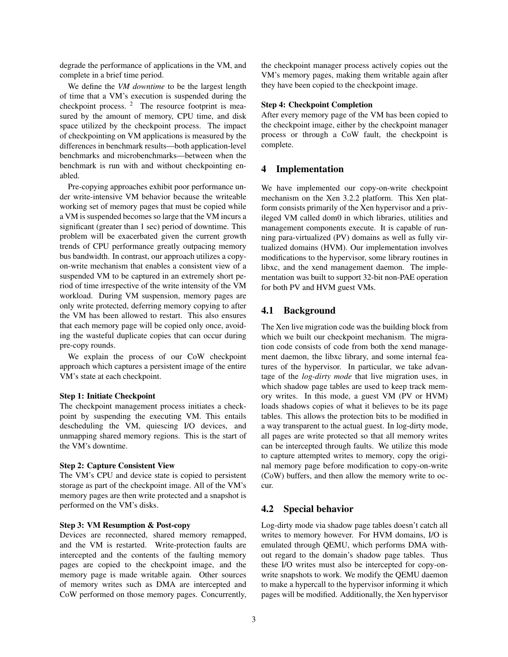degrade the performance of applications in the VM, and complete in a brief time period.

We define the *VM downtime* to be the largest length of time that a VM's execution is suspended during the checkpoint process.  $2$  The resource footprint is measured by the amount of memory, CPU time, and disk space utilized by the checkpoint process. The impact of checkpointing on VM applications is measured by the differences in benchmark results—both application-level benchmarks and microbenchmarks—between when the benchmark is run with and without checkpointing enabled.

Pre-copying approaches exhibit poor performance under write-intensive VM behavior because the writeable working set of memory pages that must be copied while a VM is suspended becomes so large that the VM incurs a significant (greater than 1 sec) period of downtime. This problem will be exacerbated given the current growth trends of CPU performance greatly outpacing memory bus bandwidth. In contrast, our approach utilizes a copyon-write mechanism that enables a consistent view of a suspended VM to be captured in an extremely short period of time irrespective of the write intensity of the VM workload. During VM suspension, memory pages are only write protected, deferring memory copying to after the VM has been allowed to restart. This also ensures that each memory page will be copied only once, avoiding the wasteful duplicate copies that can occur during pre-copy rounds.

We explain the process of our CoW checkpoint approach which captures a persistent image of the entire VM's state at each checkpoint.

#### Step 1: Initiate Checkpoint

The checkpoint management process initiates a checkpoint by suspending the executing VM. This entails descheduling the VM, quiescing I/O devices, and unmapping shared memory regions. This is the start of the VM's downtime.

### Step 2: Capture Consistent View

The VM's CPU and device state is copied to persistent storage as part of the checkpoint image. All of the VM's memory pages are then write protected and a snapshot is performed on the VM's disks.

### Step 3: VM Resumption & Post-copy

Devices are reconnected, shared memory remapped, and the VM is restarted. Write-protection faults are intercepted and the contents of the faulting memory pages are copied to the checkpoint image, and the memory page is made writable again. Other sources of memory writes such as DMA are intercepted and CoW performed on those memory pages. Concurrently, the checkpoint manager process actively copies out the VM's memory pages, making them writable again after they have been copied to the checkpoint image.

#### Step 4: Checkpoint Completion

After every memory page of the VM has been copied to the checkpoint image, either by the checkpoint manager process or through a CoW fault, the checkpoint is complete.

# 4 Implementation

We have implemented our copy-on-write checkpoint mechanism on the Xen 3.2.2 platform. This Xen platform consists primarily of the Xen hypervisor and a privileged VM called dom0 in which libraries, utilities and management components execute. It is capable of running para-virtualized (PV) domains as well as fully virtualized domains (HVM). Our implementation involves modifications to the hypervisor, some library routines in libxc, and the xend management daemon. The implementation was built to support 32-bit non-PAE operation for both PV and HVM guest VMs.

### 4.1 Background

The Xen live migration code was the building block from which we built our checkpoint mechanism. The migration code consists of code from both the xend management daemon, the libxc library, and some internal features of the hypervisor. In particular, we take advantage of the *log-dirty mode* that live migration uses, in which shadow page tables are used to keep track memory writes. In this mode, a guest VM (PV or HVM) loads shadows copies of what it believes to be its page tables. This allows the protection bits to be modified in a way transparent to the actual guest. In log-dirty mode, all pages are write protected so that all memory writes can be intercepted through faults. We utilize this mode to capture attempted writes to memory, copy the original memory page before modification to copy-on-write (CoW) buffers, and then allow the memory write to occur.

### 4.2 Special behavior

Log-dirty mode via shadow page tables doesn't catch all writes to memory however. For HVM domains, I/O is emulated through QEMU, which performs DMA without regard to the domain's shadow page tables. Thus these I/O writes must also be intercepted for copy-onwrite snapshots to work. We modify the QEMU daemon to make a hypercall to the hypervisor informing it which pages will be modified. Additionally, the Xen hypervisor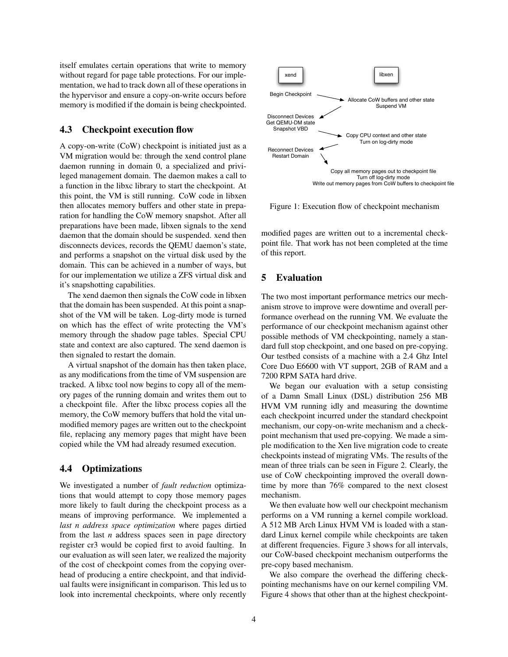itself emulates certain operations that write to memory without regard for page table protections. For our implementation, we had to track down all of these operations in the hypervisor and ensure a copy-on-write occurs before memory is modified if the domain is being checkpointed.

# 4.3 Checkpoint execution flow

A copy-on-write (CoW) checkpoint is initiated just as a VM migration would be: through the xend control plane daemon running in domain 0, a specialized and privileged management domain. The daemon makes a call to a function in the libxc library to start the checkpoint. At this point, the VM is still running. CoW code in libxen then allocates memory buffers and other state in preparation for handling the CoW memory snapshot. After all preparations have been made, libxen signals to the xend daemon that the domain should be suspended. xend then disconnects devices, records the QEMU daemon's state, and performs a snapshot on the virtual disk used by the domain. This can be achieved in a number of ways, but for our implementation we utilize a ZFS virtual disk and it's snapshotting capabilities.

The xend daemon then signals the CoW code in libxen that the domain has been suspended. At this point a snapshot of the VM will be taken. Log-dirty mode is turned on which has the effect of write protecting the VM's memory through the shadow page tables. Special CPU state and context are also captured. The xend daemon is then signaled to restart the domain.

A virtual snapshot of the domain has then taken place, as any modifications from the time of VM suspension are tracked. A libxc tool now begins to copy all of the memory pages of the running domain and writes them out to a checkpoint file. After the libxc process copies all the memory, the CoW memory buffers that hold the vital unmodified memory pages are written out to the checkpoint file, replacing any memory pages that might have been copied while the VM had already resumed execution.

### 4.4 Optimizations

We investigated a number of *fault reduction* optimizations that would attempt to copy those memory pages more likely to fault during the checkpoint process as a means of improving performance. We implemented a *last n address space optimization* where pages dirtied from the last *n* address spaces seen in page directory register cr3 would be copied first to avoid faulting. In our evaluation as will seen later, we realized the majority of the cost of checkpoint comes from the copying overhead of producing a entire checkpoint, and that individual faults were insignificant in comparison. This led us to look into incremental checkpoints, where only recently



Figure 1: Execution flow of checkpoint mechanism

modified pages are written out to a incremental checkpoint file. That work has not been completed at the time of this report.

## 5 Evaluation

The two most important performance metrics our mechanism strove to improve were downtime and overall performance overhead on the running VM. We evaluate the performance of our checkpoint mechanism against other possible methods of VM checkpointing, namely a standard full stop checkpoint, and one based on pre-copying. Our testbed consists of a machine with a 2.4 Ghz Intel Core Duo E6600 with VT support, 2GB of RAM and a 7200 RPM SATA hard drive.

We began our evaluation with a setup consisting of a Damn Small Linux (DSL) distribution 256 MB HVM VM running idly and measuring the downtime each checkpoint incurred under the standard checkpoint mechanism, our copy-on-write mechanism and a checkpoint mechanism that used pre-copying. We made a simple modification to the Xen live migration code to create checkpoints instead of migrating VMs. The results of the mean of three trials can be seen in Figure 2. Clearly, the use of CoW checkpointing improved the overall downtime by more than 76% compared to the next closest mechanism.

We then evaluate how well our checkpoint mechanism performs on a VM running a kernel compile workload. A 512 MB Arch Linux HVM VM is loaded with a standard Linux kernel compile while checkpoints are taken at different frequencies. Figure 3 shows for all intervals, our CoW-based checkpoint mechanism outperforms the pre-copy based mechanism.

We also compare the overhead the differing checkpointing mechanisms have on our kernel compiling VM. Figure 4 shows that other than at the highest checkpoint-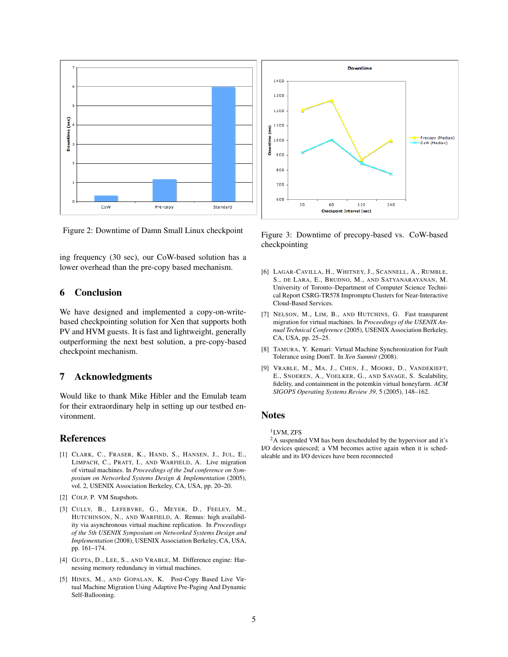



ing frequency (30 sec), our CoW-based solution has a lower overhead than the pre-copy based mechanism.

# 6 Conclusion

We have designed and implemented a copy-on-writebased checkpointing solution for Xen that supports both PV and HVM guests. It is fast and lightweight, generally outperforming the next best solution, a pre-copy-based checkpoint mechanism.

### 7 Acknowledgments

Would like to thank Mike Hibler and the Emulab team for their extraordinary help in setting up our testbed environment.

# References

- [1] CLARK, C., FRASER, K., HAND, S., HANSEN, J., JUL, E., LIMPACH, C., PRATT, I., AND WARFIELD, A. Live migration of virtual machines. In *Proceedings of the 2nd conference on Symposium on Networked Systems Design & Implementation* (2005), vol. 2, USENIX Association Berkeley, CA, USA, pp. 20–20.
- [2] COLP, P. VM Snapshots.
- [3] CULLY, B., LEFEBVRE, G., MEYER, D., FEELEY, M., HUTCHINSON, N., AND WARFIELD, A. Remus: high availability via asynchronous virtual machine replication. In *Proceedings of the 5th USENIX Symposium on Networked Systems Design and Implementation* (2008), USENIX Association Berkeley, CA, USA, pp. 161–174.
- [4] GUPTA, D., LEE, S., AND VRABLE, M. Difference engine: Harnessing memory redundancy in virtual machines.
- [5] HINES, M., AND GOPALAN, K. Post-Copy Based Live Virtual Machine Migration Using Adaptive Pre-Paging And Dynamic Self-Ballooning.



Figure 3: Downtime of precopy-based vs. CoW-based checkpointing

- [6] LAGAR-CAVILLA, H., WHITNEY, J., SCANNELL, A., RUMBLE, S., DE LARA, E., BRUDNO, M., AND SATYANARAYANAN, M. University of Toronto–Department of Computer Science Technical Report CSRG-TR578 Impromptu Clusters for Near-Interactive Cloud-Based Services.
- [7] NELSON, M., LIM, B., AND HUTCHINS, G. Fast transparent migration for virtual machines. In *Proceedings of the USENIX Annual Technical Conference* (2005), USENIX Association Berkeley, CA, USA, pp. 25–25.
- [8] TAMURA, Y. Kemari: Virtual Machine Synchronization for Fault Tolerance using DomT. In *Xen Summit* (2008).
- [9] VRABLE, M., MA, J., CHEN, J., MOORE, D., VANDEKIEFT, E., SNOEREN, A., VOELKER, G., AND SAVAGE, S. Scalability, fidelity, and containment in the potemkin virtual honeyfarm. *ACM SIGOPS Operating Systems Review 39*, 5 (2005), 148–162.

# Notes

<sup>1</sup>LVM, ZFS

<sup>2</sup>A suspended VM has been descheduled by the hypervisor and it's I/O devices quiesced; a VM becomes active again when it is scheduleable and its I/O devices have been reconnected